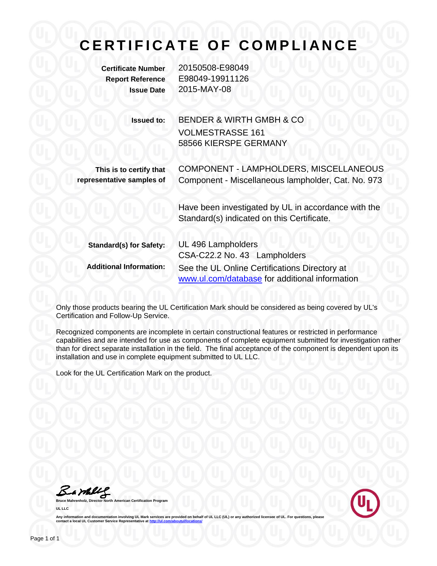# **C E R T I F I C A T E O F C O M P L I A N C E**

**Certificate Number** 20150508-E98049 **Report Reference** E98049-19911126 **Issue Date** 2015-MAY-08

> **Issued to:** BENDER & WIRTH GMBH & CO VOLMESTRASSE 161 58566 KIERSPE GERMANY

**This is to certify that representative samples of**

COMPONENT - LAMPHOLDERS, MISCELLANEOUS Component - Miscellaneous lampholder, Cat. No. 973

Have been investigated by UL in accordance with the Standard(s) indicated on this Certificate.

| <b>Standard(s) for Safety:</b> | UL 496 Lampholders<br>CSA-C22.2 No. 43 Lampholders                                              |
|--------------------------------|-------------------------------------------------------------------------------------------------|
| <b>Additional Information:</b> | See the UL Online Certifications Directory at<br>www.ul.com/database for additional information |

Only those products bearing the UL Certification Mark should be considered as being covered by UL's Certification and Follow-Up Service.

Recognized components are incomplete in certain constructional features or restricted in performance capabilities and are intended for use as components of complete equipment submitted for investigation rather than for direct separate installation in the field. The final acceptance of the component is dependent upon its installation and use in complete equipment submitted to UL LLC.

Look for the UL Certification Mark on the product.

Samll

**Bruce Mahrenholz, Director North American Certification Program UL LLC**



Any information and documentation involving UL Mark services are provided on behalf of UL LLC (UL) or any authorized licensee of UL. For questions, please<br>contact a local UL Customer Service Representative at <u>http://ul.co</u>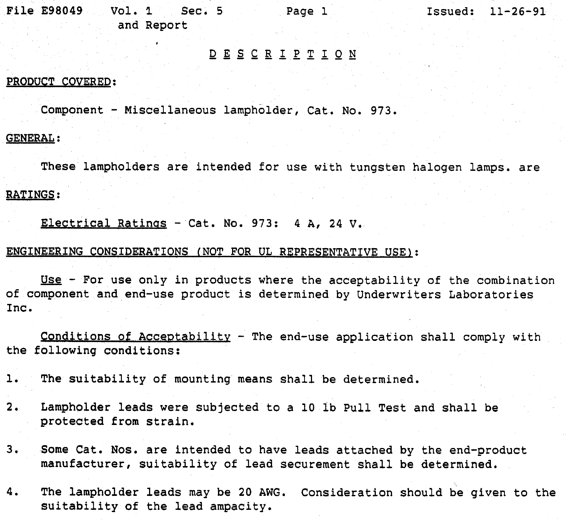File E98049 Vol. 1  $Sec.5$ Page 1  $Issued: 11-26-91$ and Report

## DESCRIPTION

#### PRODUCT COVERED:

Component - Miscellaneous lampholder, Cat. No. 973.

#### **GENERAL:**

These lampholders are intended for use with tungsten halogen lamps. are **RATINGS:** 

Electrical Ratings - Cat. No. 973: 4 A, 24 V.

### ENGINEERING CONSIDERATIONS (NOT FOR UL REPRESENTATIVE USE):

Use - For use only in products where the acceptability of the combination of component and end-use product is determined by Underwriters Laboratories Inc.

Conditions of Acceptability - The end-use application shall comply with the following conditions:

The suitability of mounting means shall be determined.  $\mathbf{1}$ .

- $2.$ Lampholder leads were subjected to a 10 lb Pull Test and shall be protected from strain.
- $3.$ Some Cat. Nos. are intended to have leads attached by the end-product manufacturer, suitability of lead securement shall be determined.
- 4. The lampholder leads may be 20 AWG. Consideration should be given to the suitability of the lead ampacity.